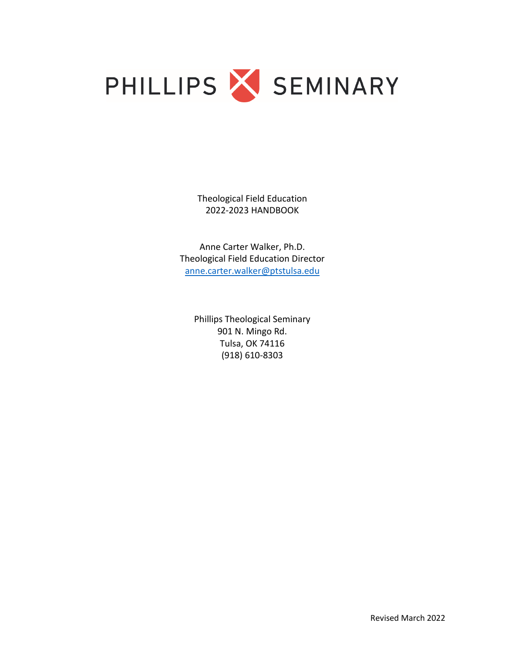

Theological Field Education 2022-2023 HANDBOOK

Anne Carter Walker, Ph.D. Theological Field Education Director [anne.carter.walker@ptstulsa.edu](mailto:anne.carter.walker@ptstulsa.edu)

Phillips Theological Seminary 901 N. Mingo Rd. Tulsa, OK 74116 (918) 610-8303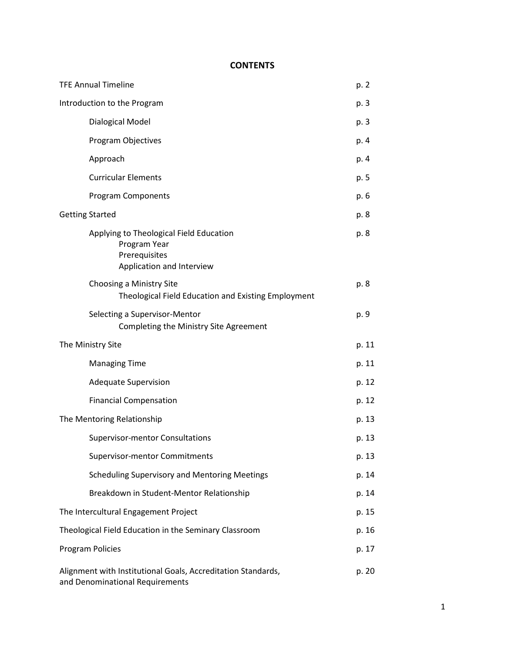# **CONTENTS**

| <b>TFE Annual Timeline</b>  |                                                                                                       | p. 2  |
|-----------------------------|-------------------------------------------------------------------------------------------------------|-------|
| Introduction to the Program |                                                                                                       | p. 3  |
|                             | Dialogical Model                                                                                      | p. 3  |
|                             | Program Objectives                                                                                    | p. 4  |
|                             | Approach                                                                                              | p. 4  |
|                             | <b>Curricular Elements</b>                                                                            | p. 5  |
|                             | <b>Program Components</b>                                                                             | p. 6  |
| <b>Getting Started</b>      |                                                                                                       | p. 8  |
|                             | Applying to Theological Field Education<br>Program Year<br>Prerequisites<br>Application and Interview | p. 8  |
|                             | Choosing a Ministry Site<br>Theological Field Education and Existing Employment                       | p. 8  |
|                             | Selecting a Supervisor-Mentor<br>Completing the Ministry Site Agreement                               | p. 9  |
| The Ministry Site           |                                                                                                       | p. 11 |
|                             | <b>Managing Time</b>                                                                                  |       |
|                             |                                                                                                       | p. 11 |
|                             | <b>Adequate Supervision</b>                                                                           | p. 12 |
|                             | <b>Financial Compensation</b>                                                                         | p. 12 |
|                             | The Mentoring Relationship                                                                            | p. 13 |
|                             | <b>Supervisor-mentor Consultations</b>                                                                | p. 13 |
|                             | <b>Supervisor-mentor Commitments</b>                                                                  | p. 13 |
|                             | <b>Scheduling Supervisory and Mentoring Meetings</b>                                                  | p. 14 |
|                             | Breakdown in Student-Mentor Relationship                                                              | p. 14 |
|                             | The Intercultural Engagement Project                                                                  | p. 15 |
|                             | Theological Field Education in the Seminary Classroom                                                 | p. 16 |
|                             | <b>Program Policies</b>                                                                               | p. 17 |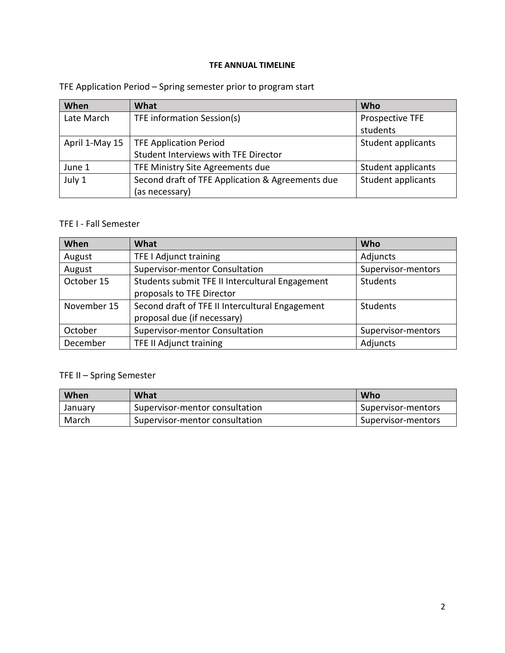### **TFE ANNUAL TIMELINE**

# TFE Application Period – Spring semester prior to program start

| When           | What                                             | Who                |
|----------------|--------------------------------------------------|--------------------|
| Late March     | TFE information Session(s)                       | Prospective TFE    |
|                |                                                  | students           |
| April 1-May 15 | <b>TFE Application Period</b>                    | Student applicants |
|                | Student Interviews with TFE Director             |                    |
| June 1         | TFE Ministry Site Agreements due                 | Student applicants |
| July 1         | Second draft of TFE Application & Agreements due | Student applicants |
|                | (as necessary)                                   |                    |

### TFE I - Fall Semester

| When        | <b>What</b>                                     | Who                |
|-------------|-------------------------------------------------|--------------------|
| August      | TFE I Adjunct training                          | Adjuncts           |
| August      | <b>Supervisor-mentor Consultation</b>           | Supervisor-mentors |
| October 15  | Students submit TFE II Intercultural Engagement | Students           |
|             | proposals to TFE Director                       |                    |
| November 15 | Second draft of TFE II Intercultural Engagement | Students           |
|             | proposal due (if necessary)                     |                    |
| October     | Supervisor-mentor Consultation                  | Supervisor-mentors |
| December    | <b>TFE II Adjunct training</b>                  | Adjuncts           |

# TFE II – Spring Semester

| When    | What                           | Who                |
|---------|--------------------------------|--------------------|
| January | Supervisor-mentor consultation | Supervisor-mentors |
| March   | Supervisor-mentor consultation | Supervisor-mentors |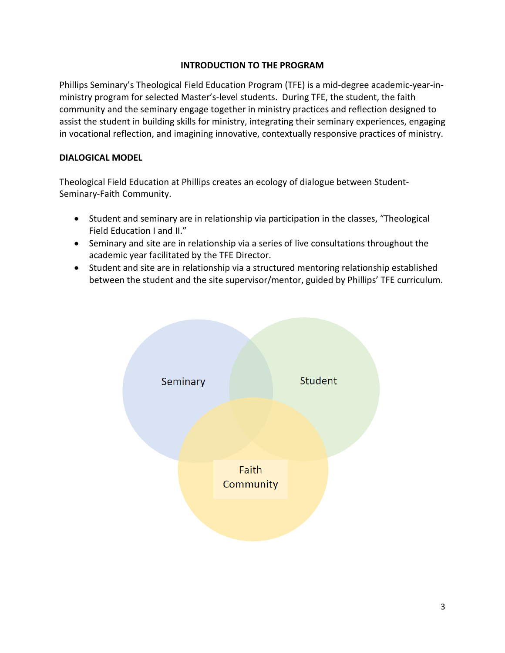### **INTRODUCTION TO THE PROGRAM**

Phillips Seminary's Theological Field Education Program (TFE) is a mid-degree academic-year-inministry program for selected Master's-level students. During TFE, the student, the faith community and the seminary engage together in ministry practices and reflection designed to assist the student in building skills for ministry, integrating their seminary experiences, engaging in vocational reflection, and imagining innovative, contextually responsive practices of ministry.

#### **DIALOGICAL MODEL**

Theological Field Education at Phillips creates an ecology of dialogue between Student-Seminary-Faith Community.

- Student and seminary are in relationship via participation in the classes, "Theological Field Education I and II."
- Seminary and site are in relationship via a series of live consultations throughout the academic year facilitated by the TFE Director.
- Student and site are in relationship via a structured mentoring relationship established between the student and the site supervisor/mentor, guided by Phillips' TFE curriculum.

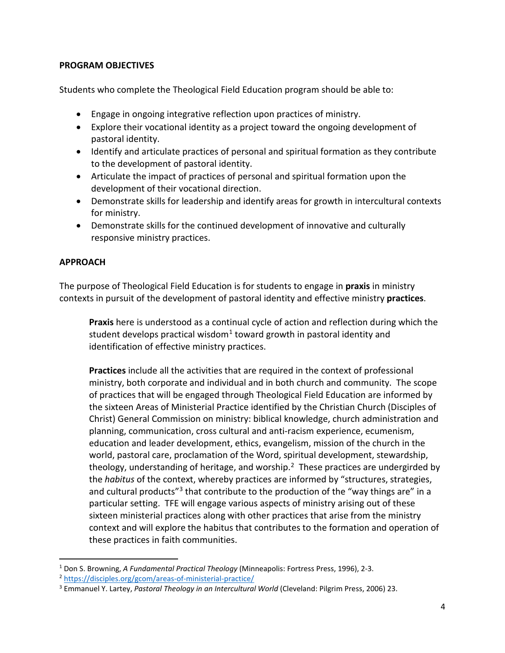### **PROGRAM OBJECTIVES**

Students who complete the Theological Field Education program should be able to:

- Engage in ongoing integrative reflection upon practices of ministry.
- Explore their vocational identity as a project toward the ongoing development of pastoral identity.
- Identify and articulate practices of personal and spiritual formation as they contribute to the development of pastoral identity.
- Articulate the impact of practices of personal and spiritual formation upon the development of their vocational direction.
- Demonstrate skills for leadership and identify areas for growth in intercultural contexts for ministry.
- Demonstrate skills for the continued development of innovative and culturally responsive ministry practices.

### **APPROACH**

The purpose of Theological Field Education is for students to engage in **praxis** in ministry contexts in pursuit of the development of pastoral identity and effective ministry **practices**.

**Praxis** here is understood as a continual cycle of action and reflection during which the student develops practical wisdom<sup>[1](#page-4-0)</sup> toward growth in pastoral identity and identification of effective ministry practices.

**Practices** include all the activities that are required in the context of professional ministry, both corporate and individual and in both church and community. The scope of practices that will be engaged through Theological Field Education are informed by the sixteen Areas of Ministerial Practice identified by the Christian Church (Disciples of Christ) General Commission on ministry: biblical knowledge, church administration and planning, communication, cross cultural and anti-racism experience, ecumenism, education and leader development, ethics, evangelism, mission of the church in the world, pastoral care, proclamation of the Word, spiritual development, stewardship, theology, understanding of heritage, and worship.<sup>2</sup> These practices are undergirded by the *habitus* of the context, whereby practices are informed by "structures, strategies, and cultural products<sup>"[3](#page-4-2)</sup> that contribute to the production of the "way things are" in a particular setting. TFE will engage various aspects of ministry arising out of these sixteen ministerial practices along with other practices that arise from the ministry context and will explore the habitus that contributes to the formation and operation of these practices in faith communities.

<span id="page-4-0"></span><sup>1</sup> Don S. Browning, *A Fundamental Practical Theology* (Minneapolis: Fortress Press, 1996), 2-3.

<span id="page-4-1"></span><sup>2</sup> <https://disciples.org/gcom/areas-of-ministerial-practice/>

<span id="page-4-2"></span><sup>3</sup> Emmanuel Y. Lartey, *Pastoral Theology in an Intercultural World* (Cleveland: Pilgrim Press, 2006) 23.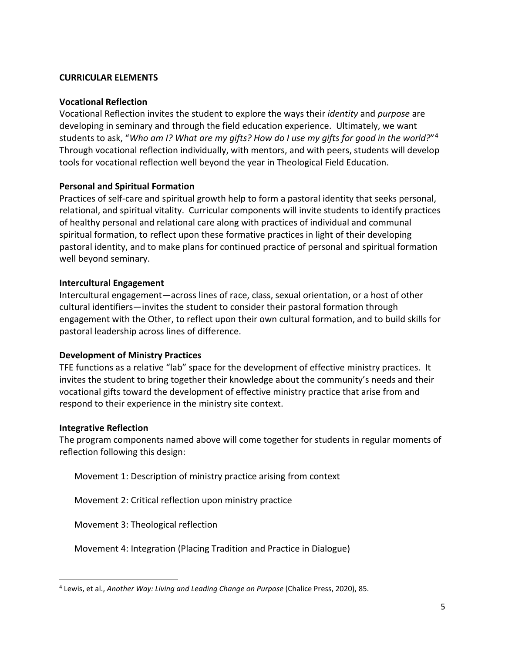#### **CURRICULAR ELEMENTS**

#### **Vocational Reflection**

Vocational Reflection invites the student to explore the ways their *identity* and *purpose* are developing in seminary and through the field education experience. Ultimately, we want students to ask, "*Who am I? What are my gifts? How do I use my gifts for good in the world?*"[4](#page-5-0) Through vocational reflection individually, with mentors, and with peers, students will develop tools for vocational reflection well beyond the year in Theological Field Education.

### **Personal and Spiritual Formation**

Practices of self-care and spiritual growth help to form a pastoral identity that seeks personal, relational, and spiritual vitality. Curricular components will invite students to identify practices of healthy personal and relational care along with practices of individual and communal spiritual formation, to reflect upon these formative practices in light of their developing pastoral identity, and to make plans for continued practice of personal and spiritual formation well beyond seminary.

### **Intercultural Engagement**

Intercultural engagement—across lines of race, class, sexual orientation, or a host of other cultural identifiers—invites the student to consider their pastoral formation through engagement with the Other, to reflect upon their own cultural formation, and to build skills for pastoral leadership across lines of difference.

#### **Development of Ministry Practices**

TFE functions as a relative "lab" space for the development of effective ministry practices. It invites the student to bring together their knowledge about the community's needs and their vocational gifts toward the development of effective ministry practice that arise from and respond to their experience in the ministry site context.

#### **Integrative Reflection**

The program components named above will come together for students in regular moments of reflection following this design:

Movement 1: Description of ministry practice arising from context

Movement 2: Critical reflection upon ministry practice

Movement 3: Theological reflection

Movement 4: Integration (Placing Tradition and Practice in Dialogue)

<span id="page-5-0"></span><sup>4</sup> Lewis, et al., *Another Way: Living and Leading Change on Purpose* (Chalice Press, 2020), 85.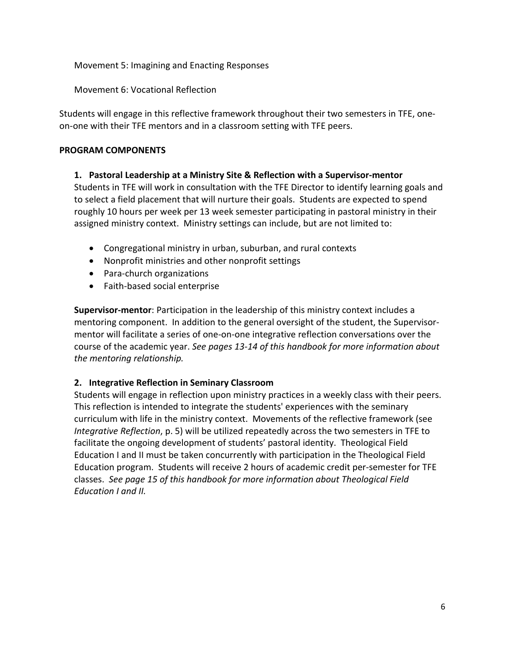Movement 5: Imagining and Enacting Responses

Movement 6: Vocational Reflection

Students will engage in this reflective framework throughout their two semesters in TFE, oneon-one with their TFE mentors and in a classroom setting with TFE peers.

### **PROGRAM COMPONENTS**

### **1. Pastoral Leadership at a Ministry Site & Reflection with a Supervisor-mentor**

Students in TFE will work in consultation with the TFE Director to identify learning goals and to select a field placement that will nurture their goals. Students are expected to spend roughly 10 hours per week per 13 week semester participating in pastoral ministry in their assigned ministry context. Ministry settings can include, but are not limited to:

- Congregational ministry in urban, suburban, and rural contexts
- Nonprofit ministries and other nonprofit settings
- Para-church organizations
- Faith-based social enterprise

**Supervisor-mentor**: Participation in the leadership of this ministry context includes a mentoring component. In addition to the general oversight of the student, the Supervisormentor will facilitate a series of one-on-one integrative reflection conversations over the course of the academic year. *See pages 13-14 of this handbook for more information about the mentoring relationship.*

## **2. Integrative Reflection in Seminary Classroom**

Students will engage in reflection upon ministry practices in a weekly class with their peers. This reflection is intended to integrate the students' experiences with the seminary curriculum with life in the ministry context. Movements of the reflective framework (see *Integrative Reflection*, p. 5) will be utilized repeatedly across the two semesters in TFE to facilitate the ongoing development of students' pastoral identity. Theological Field Education I and II must be taken concurrently with participation in the Theological Field Education program. Students will receive 2 hours of academic credit per-semester for TFE classes. *See page 15 of this handbook for more information about Theological Field Education I and II.*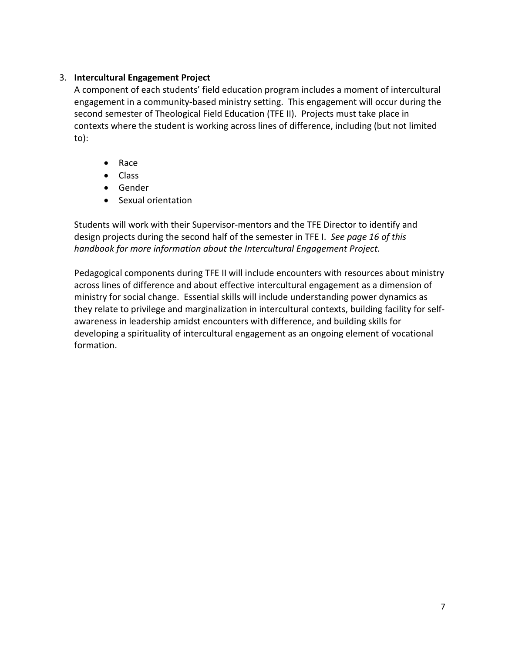## 3. **Intercultural Engagement Project**

A component of each students' field education program includes a moment of intercultural engagement in a community-based ministry setting. This engagement will occur during the second semester of Theological Field Education (TFE II). Projects must take place in contexts where the student is working across lines of difference, including (but not limited to):

- Race
- Class
- Gender
- Sexual orientation

Students will work with their Supervisor-mentors and the TFE Director to identify and design projects during the second half of the semester in TFE I. *See page 16 of this handbook for more information about the Intercultural Engagement Project.* 

Pedagogical components during TFE II will include encounters with resources about ministry across lines of difference and about effective intercultural engagement as a dimension of ministry for social change. Essential skills will include understanding power dynamics as they relate to privilege and marginalization in intercultural contexts, building facility for selfawareness in leadership amidst encounters with difference, and building skills for developing a spirituality of intercultural engagement as an ongoing element of vocational formation.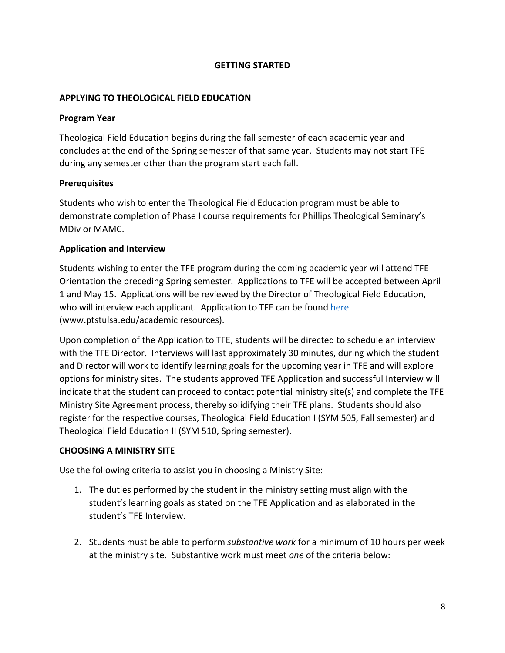### **GETTING STARTED**

### **APPLYING TO THEOLOGICAL FIELD EDUCATION**

### **Program Year**

Theological Field Education begins during the fall semester of each academic year and concludes at the end of the Spring semester of that same year. Students may not start TFE during any semester other than the program start each fall.

### **Prerequisites**

Students who wish to enter the Theological Field Education program must be able to demonstrate completion of Phase I course requirements for Phillips Theological Seminary's MDiv or MAMC.

### **Application and Interview**

Students wishing to enter the TFE program during the coming academic year will attend TFE Orientation the preceding Spring semester. Applications to TFE will be accepted between April 1 and May 15. Applications will be reviewed by the Director of Theological Field Education, who will interview each applicant. Application to TFE can be found [here](https://fs27.formsite.com/PtNxGa/i9kugbcoef/index.html?1646406781354) (www.ptstulsa.edu/academic resources).

Upon completion of the Application to TFE, students will be directed to schedule an interview with the TFE Director. Interviews will last approximately 30 minutes, during which the student and Director will work to identify learning goals for the upcoming year in TFE and will explore options for ministry sites. The students approved TFE Application and successful Interview will indicate that the student can proceed to contact potential ministry site(s) and complete the TFE Ministry Site Agreement process, thereby solidifying their TFE plans. Students should also register for the respective courses, Theological Field Education I (SYM 505, Fall semester) and Theological Field Education II (SYM 510, Spring semester).

#### **CHOOSING A MINISTRY SITE**

Use the following criteria to assist you in choosing a Ministry Site:

- 1. The duties performed by the student in the ministry setting must align with the student's learning goals as stated on the TFE Application and as elaborated in the student's TFE Interview.
- 2. Students must be able to perform *substantive work* for a minimum of 10 hours per week at the ministry site. Substantive work must meet *one* of the criteria below: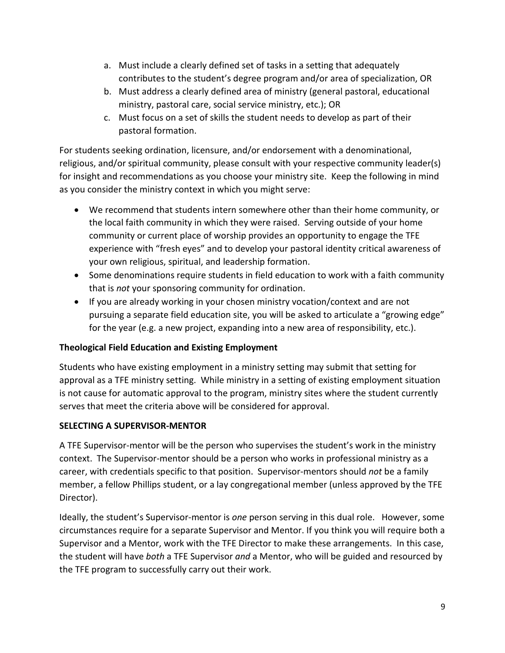- a. Must include a clearly defined set of tasks in a setting that adequately contributes to the student's degree program and/or area of specialization, OR
- b. Must address a clearly defined area of ministry (general pastoral, educational ministry, pastoral care, social service ministry, etc.); OR
- c. Must focus on a set of skills the student needs to develop as part of their pastoral formation.

For students seeking ordination, licensure, and/or endorsement with a denominational, religious, and/or spiritual community, please consult with your respective community leader(s) for insight and recommendations as you choose your ministry site. Keep the following in mind as you consider the ministry context in which you might serve:

- We recommend that students intern somewhere other than their home community, or the local faith community in which they were raised. Serving outside of your home community or current place of worship provides an opportunity to engage the TFE experience with "fresh eyes" and to develop your pastoral identity critical awareness of your own religious, spiritual, and leadership formation.
- Some denominations require students in field education to work with a faith community that is *not* your sponsoring community for ordination.
- If you are already working in your chosen ministry vocation/context and are not pursuing a separate field education site, you will be asked to articulate a "growing edge" for the year (e.g. a new project, expanding into a new area of responsibility, etc.).

# **Theological Field Education and Existing Employment**

Students who have existing employment in a ministry setting may submit that setting for approval as a TFE ministry setting. While ministry in a setting of existing employment situation is not cause for automatic approval to the program, ministry sites where the student currently serves that meet the criteria above will be considered for approval.

## **SELECTING A SUPERVISOR-MENTOR**

A TFE Supervisor-mentor will be the person who supervises the student's work in the ministry context. The Supervisor-mentor should be a person who works in professional ministry as a career, with credentials specific to that position. Supervisor-mentors should *not* be a family member, a fellow Phillips student, or a lay congregational member (unless approved by the TFE Director).

Ideally, the student's Supervisor-mentor is *one* person serving in this dual role. However, some circumstances require for a separate Supervisor and Mentor. If you think you will require both a Supervisor and a Mentor, work with the TFE Director to make these arrangements. In this case, the student will have *both* a TFE Supervisor *and* a Mentor, who will be guided and resourced by the TFE program to successfully carry out their work.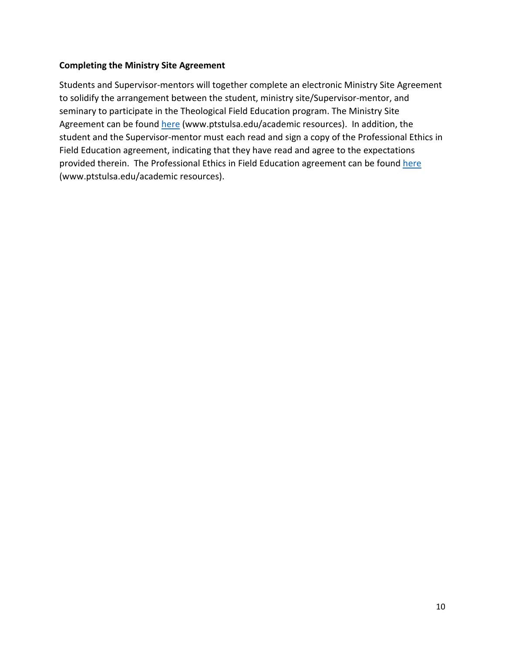### **Completing the Ministry Site Agreement**

Students and Supervisor-mentors will together complete an electronic Ministry Site Agreement to solidify the arrangement between the student, ministry site/Supervisor-mentor, and seminary to participate in the Theological Field Education program. The Ministry Site Agreement can be found [here](https://fs27.formsite.com/PtNxGa/qzu8usstc9/index.html?1646419317845) (www.ptstulsa.edu/academic resources). In addition, the student and the Supervisor-mentor must each read and sign a copy of the Professional Ethics in Field Education agreement, indicating that they have read and agree to the expectations provided therein. The Professional Ethics in Field Education agreement can be found [here](https://fs27.formsite.com/PtNxGa/efbpu2tics/index.html?1646423693295) (www.ptstulsa.edu/academic resources).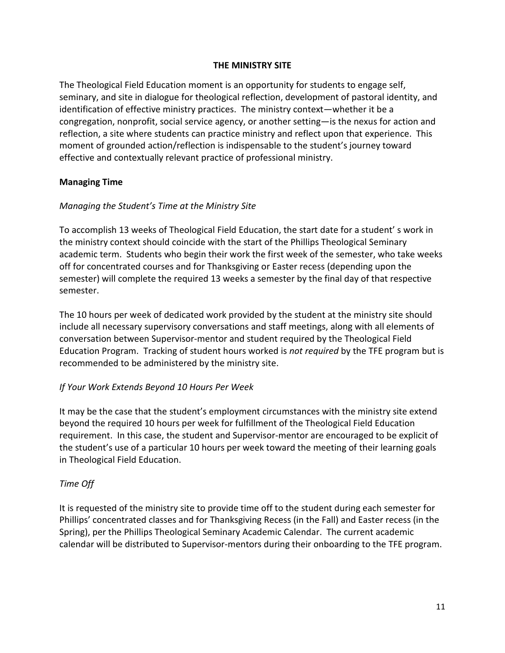### **THE MINISTRY SITE**

The Theological Field Education moment is an opportunity for students to engage self, seminary, and site in dialogue for theological reflection, development of pastoral identity, and identification of effective ministry practices. The ministry context—whether it be a congregation, nonprofit, social service agency, or another setting—is the nexus for action and reflection, a site where students can practice ministry and reflect upon that experience. This moment of grounded action/reflection is indispensable to the student's journey toward effective and contextually relevant practice of professional ministry.

### **Managing Time**

## *Managing the Student's Time at the Ministry Site*

To accomplish 13 weeks of Theological Field Education, the start date for a student' s work in the ministry context should coincide with the start of the Phillips Theological Seminary academic term. Students who begin their work the first week of the semester, who take weeks off for concentrated courses and for Thanksgiving or Easter recess (depending upon the semester) will complete the required 13 weeks a semester by the final day of that respective semester.

The 10 hours per week of dedicated work provided by the student at the ministry site should include all necessary supervisory conversations and staff meetings, along with all elements of conversation between Supervisor-mentor and student required by the Theological Field Education Program. Tracking of student hours worked is *not required* by the TFE program but is recommended to be administered by the ministry site.

#### *If Your Work Extends Beyond 10 Hours Per Week*

It may be the case that the student's employment circumstances with the ministry site extend beyond the required 10 hours per week for fulfillment of the Theological Field Education requirement. In this case, the student and Supervisor-mentor are encouraged to be explicit of the student's use of a particular 10 hours per week toward the meeting of their learning goals in Theological Field Education.

#### *Time Off*

It is requested of the ministry site to provide time off to the student during each semester for Phillips' concentrated classes and for Thanksgiving Recess (in the Fall) and Easter recess (in the Spring), per the Phillips Theological Seminary Academic Calendar. The current academic calendar will be distributed to Supervisor-mentors during their onboarding to the TFE program.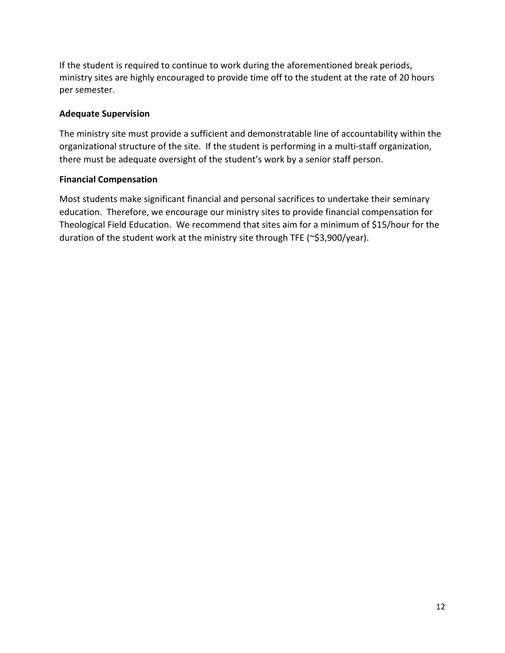If the student is required to continue to work during the aforementioned break periods, ministry sites are highly encouraged to provide time off to the student at the rate of 20 hours per semester.

## **Adequate Supervision**

The ministry site must provide a sufficient and demonstratable line of accountability within the organizational structure of the site. If the student is performing in a multi-staff organization, there must be adequate oversight of the student's work by a senior staff person.

## **Financial Compensation**

Most students make significant financial and personal sacrifices to undertake their seminary education. Therefore, we encourage our ministry sites to provide financial compensation for Theological Field Education. We recommend that sites aim for a minimum of \$15/hour for the duration of the student work at the ministry site through TFE (~\$3,900/year).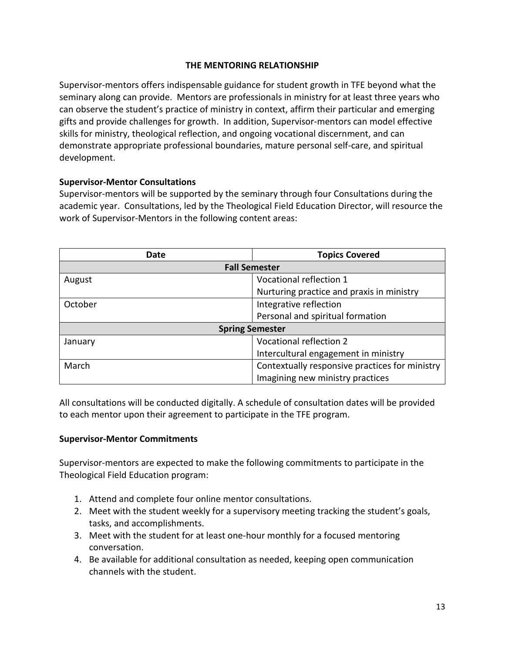### **THE MENTORING RELATIONSHIP**

Supervisor-mentors offers indispensable guidance for student growth in TFE beyond what the seminary along can provide. Mentors are professionals in ministry for at least three years who can observe the student's practice of ministry in context, affirm their particular and emerging gifts and provide challenges for growth. In addition, Supervisor-mentors can model effective skills for ministry, theological reflection, and ongoing vocational discernment, and can demonstrate appropriate professional boundaries, mature personal self-care, and spiritual development.

### **Supervisor-Mentor Consultations**

Supervisor-mentors will be supported by the seminary through four Consultations during the academic year. Consultations, led by the Theological Field Education Director, will resource the work of Supervisor-Mentors in the following content areas:

| Date                   | <b>Topics Covered</b>                          |  |  |  |
|------------------------|------------------------------------------------|--|--|--|
| <b>Fall Semester</b>   |                                                |  |  |  |
| August                 | Vocational reflection 1                        |  |  |  |
|                        | Nurturing practice and praxis in ministry      |  |  |  |
| October                | Integrative reflection                         |  |  |  |
|                        | Personal and spiritual formation               |  |  |  |
| <b>Spring Semester</b> |                                                |  |  |  |
| January                | <b>Vocational reflection 2</b>                 |  |  |  |
|                        | Intercultural engagement in ministry           |  |  |  |
| March                  | Contextually responsive practices for ministry |  |  |  |
|                        | Imagining new ministry practices               |  |  |  |

All consultations will be conducted digitally. A schedule of consultation dates will be provided to each mentor upon their agreement to participate in the TFE program.

#### **Supervisor-Mentor Commitments**

Supervisor-mentors are expected to make the following commitments to participate in the Theological Field Education program:

- 1. Attend and complete four online mentor consultations.
- 2. Meet with the student weekly for a supervisory meeting tracking the student's goals, tasks, and accomplishments.
- 3. Meet with the student for at least one-hour monthly for a focused mentoring conversation.
- 4. Be available for additional consultation as needed, keeping open communication channels with the student.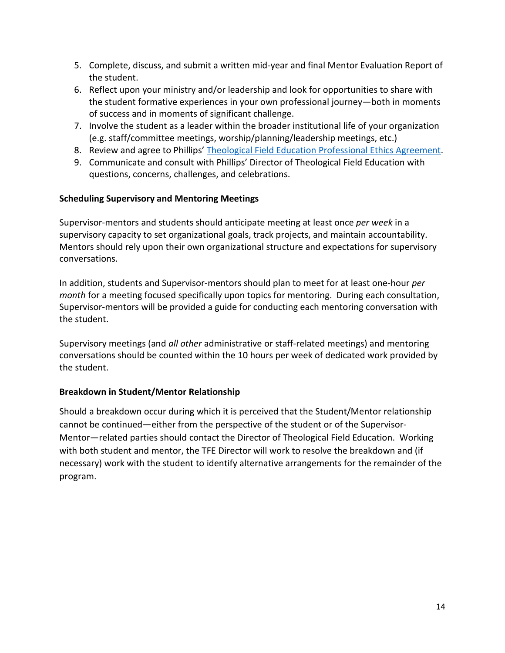- 5. Complete, discuss, and submit a written mid-year and final Mentor Evaluation Report of the student.
- 6. Reflect upon your ministry and/or leadership and look for opportunities to share with the student formative experiences in your own professional journey—both in moments of success and in moments of significant challenge.
- 7. Involve the student as a leader within the broader institutional life of your organization (e.g. staff/committee meetings, worship/planning/leadership meetings, etc.)
- 8. Review and agree to Phillips' [Theological Field Education Professional Ethics Agreement.](https://fs27.formsite.com/PtNxGa/efbpu2tics/index.html?1646423693295)
- 9. Communicate and consult with Phillips' Director of Theological Field Education with questions, concerns, challenges, and celebrations.

## **Scheduling Supervisory and Mentoring Meetings**

Supervisor-mentors and students should anticipate meeting at least once *per week* in a supervisory capacity to set organizational goals, track projects, and maintain accountability. Mentors should rely upon their own organizational structure and expectations for supervisory conversations.

In addition, students and Supervisor-mentors should plan to meet for at least one-hour *per month* for a meeting focused specifically upon topics for mentoring. During each consultation, Supervisor-mentors will be provided a guide for conducting each mentoring conversation with the student.

Supervisory meetings (and *all other* administrative or staff-related meetings) and mentoring conversations should be counted within the 10 hours per week of dedicated work provided by the student.

## **Breakdown in Student/Mentor Relationship**

Should a breakdown occur during which it is perceived that the Student/Mentor relationship cannot be continued—either from the perspective of the student or of the Supervisor-Mentor—related parties should contact the Director of Theological Field Education. Working with both student and mentor, the TFE Director will work to resolve the breakdown and (if necessary) work with the student to identify alternative arrangements for the remainder of the program.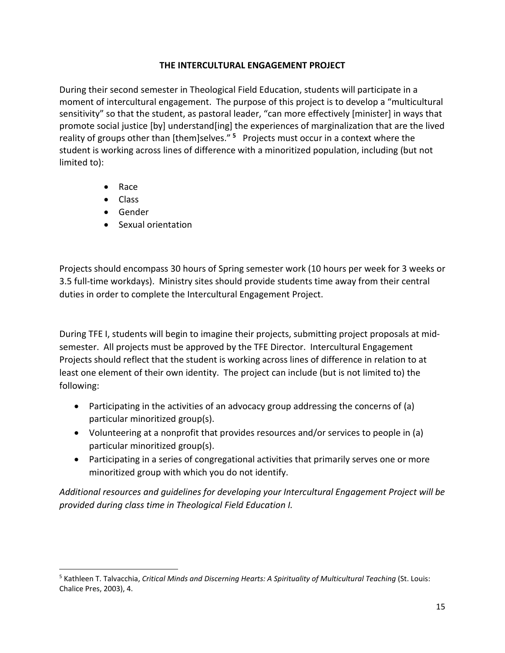## **THE INTERCULTURAL ENGAGEMENT PROJECT**

During their second semester in Theological Field Education, students will participate in a moment of intercultural engagement. The purpose of this project is to develop a "multicultural sensitivity" so that the student, as pastoral leader, "can more effectively [minister] in ways that promote social justice [by] understand[ing] the experiences of marginalization that are the lived reality of groups other than [them]selves." **[5](#page-15-0)** Projects must occur in a context where the student is working across lines of difference with a minoritized population, including (but not limited to):

- Race
- Class
- Gender
- Sexual orientation

Projects should encompass 30 hours of Spring semester work (10 hours per week for 3 weeks or 3.5 full-time workdays). Ministry sites should provide students time away from their central duties in order to complete the Intercultural Engagement Project.

During TFE I, students will begin to imagine their projects, submitting project proposals at midsemester. All projects must be approved by the TFE Director. Intercultural Engagement Projects should reflect that the student is working across lines of difference in relation to at least one element of their own identity. The project can include (but is not limited to) the following:

- Participating in the activities of an advocacy group addressing the concerns of (a) particular minoritized group(s).
- Volunteering at a nonprofit that provides resources and/or services to people in (a) particular minoritized group(s).
- Participating in a series of congregational activities that primarily serves one or more minoritized group with which you do not identify.

*Additional resources and guidelines for developing your Intercultural Engagement Project will be provided during class time in Theological Field Education I.*

<span id="page-15-0"></span><sup>5</sup> Kathleen T. Talvacchia, *Critical Minds and Discerning Hearts: A Spirituality of Multicultural Teaching* (St. Louis: Chalice Pres, 2003), 4.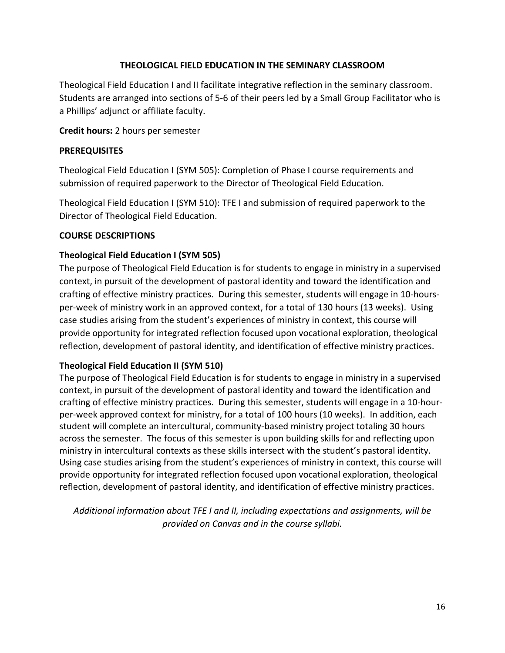## **THEOLOGICAL FIELD EDUCATION IN THE SEMINARY CLASSROOM**

Theological Field Education I and II facilitate integrative reflection in the seminary classroom. Students are arranged into sections of 5-6 of their peers led by a Small Group Facilitator who is a Phillips' adjunct or affiliate faculty.

### **Credit hours:** 2 hours per semester

### **PREREQUISITES**

Theological Field Education I (SYM 505): Completion of Phase I course requirements and submission of required paperwork to the Director of Theological Field Education.

Theological Field Education I (SYM 510): TFE I and submission of required paperwork to the Director of Theological Field Education.

### **COURSE DESCRIPTIONS**

### **Theological Field Education I (SYM 505)**

The purpose of Theological Field Education is for students to engage in ministry in a supervised context, in pursuit of the development of pastoral identity and toward the identification and crafting of effective ministry practices. During this semester, students will engage in 10-hoursper-week of ministry work in an approved context, for a total of 130 hours (13 weeks). Using case studies arising from the student's experiences of ministry in context, this course will provide opportunity for integrated reflection focused upon vocational exploration, theological reflection, development of pastoral identity, and identification of effective ministry practices.

## **Theological Field Education II (SYM 510)**

The purpose of Theological Field Education is for students to engage in ministry in a supervised context, in pursuit of the development of pastoral identity and toward the identification and crafting of effective ministry practices. During this semester, students will engage in a 10-hourper-week approved context for ministry, for a total of 100 hours (10 weeks). In addition, each student will complete an intercultural, community-based ministry project totaling 30 hours across the semester. The focus of this semester is upon building skills for and reflecting upon ministry in intercultural contexts as these skills intersect with the student's pastoral identity. Using case studies arising from the student's experiences of ministry in context, this course will provide opportunity for integrated reflection focused upon vocational exploration, theological reflection, development of pastoral identity, and identification of effective ministry practices.

*Additional information about TFE I and II, including expectations and assignments, will be provided on Canvas and in the course syllabi.*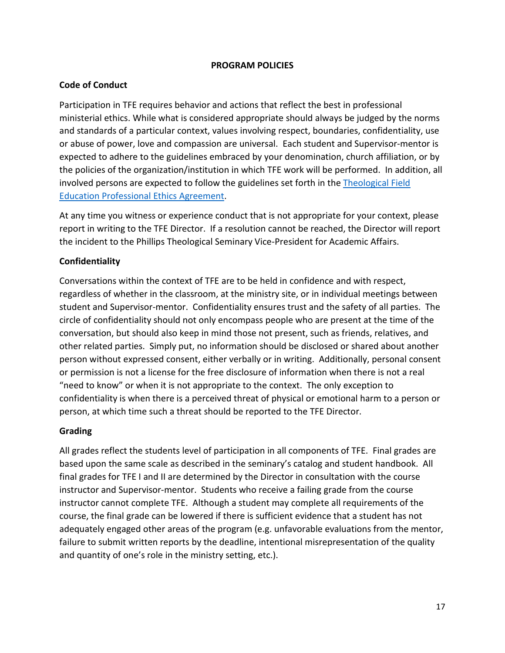#### **PROGRAM POLICIES**

## **Code of Conduct**

Participation in TFE requires behavior and actions that reflect the best in professional ministerial ethics. While what is considered appropriate should always be judged by the norms and standards of a particular context, values involving respect, boundaries, confidentiality, use or abuse of power, love and compassion are universal. Each student and Supervisor-mentor is expected to adhere to the guidelines embraced by your denomination, church affiliation, or by the policies of the organization/institution in which TFE work will be performed. In addition, all involved persons are expected to follow the guidelines set forth in the [Theological Field](https://fs27.formsite.com/PtNxGa/efbpu2tics/index.html?1646423693295)  [Education Professional Ethics Agreement.](https://fs27.formsite.com/PtNxGa/efbpu2tics/index.html?1646423693295)

At any time you witness or experience conduct that is not appropriate for your context, please report in writing to the TFE Director. If a resolution cannot be reached, the Director will report the incident to the Phillips Theological Seminary Vice-President for Academic Affairs.

## **Confidentiality**

Conversations within the context of TFE are to be held in confidence and with respect, regardless of whether in the classroom, at the ministry site, or in individual meetings between student and Supervisor-mentor. Confidentiality ensures trust and the safety of all parties. The circle of confidentiality should not only encompass people who are present at the time of the conversation, but should also keep in mind those not present, such as friends, relatives, and other related parties. Simply put, no information should be disclosed or shared about another person without expressed consent, either verbally or in writing. Additionally, personal consent or permission is not a license for the free disclosure of information when there is not a real "need to know" or when it is not appropriate to the context. The only exception to confidentiality is when there is a perceived threat of physical or emotional harm to a person or person, at which time such a threat should be reported to the TFE Director.

#### **Grading**

All grades reflect the students level of participation in all components of TFE. Final grades are based upon the same scale as described in the seminary's catalog and student handbook. All final grades for TFE I and II are determined by the Director in consultation with the course instructor and Supervisor-mentor. Students who receive a failing grade from the course instructor cannot complete TFE. Although a student may complete all requirements of the course, the final grade can be lowered if there is sufficient evidence that a student has not adequately engaged other areas of the program (e.g. unfavorable evaluations from the mentor, failure to submit written reports by the deadline, intentional misrepresentation of the quality and quantity of one's role in the ministry setting, etc.).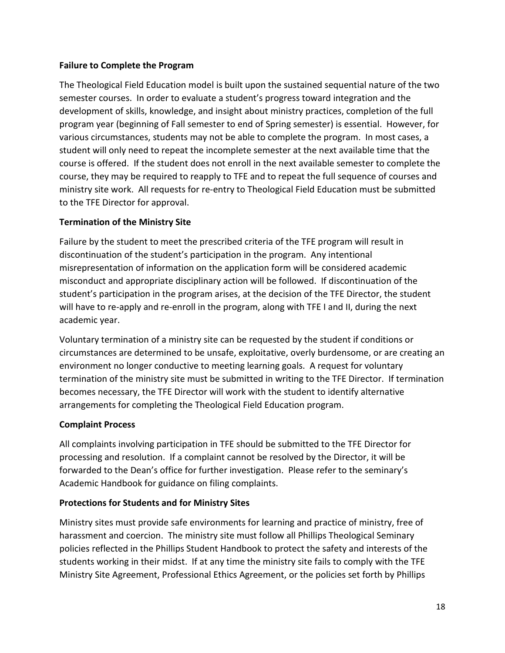### **Failure to Complete the Program**

The Theological Field Education model is built upon the sustained sequential nature of the two semester courses. In order to evaluate a student's progress toward integration and the development of skills, knowledge, and insight about ministry practices, completion of the full program year (beginning of Fall semester to end of Spring semester) is essential. However, for various circumstances, students may not be able to complete the program. In most cases, a student will only need to repeat the incomplete semester at the next available time that the course is offered. If the student does not enroll in the next available semester to complete the course, they may be required to reapply to TFE and to repeat the full sequence of courses and ministry site work. All requests for re-entry to Theological Field Education must be submitted to the TFE Director for approval.

## **Termination of the Ministry Site**

Failure by the student to meet the prescribed criteria of the TFE program will result in discontinuation of the student's participation in the program. Any intentional misrepresentation of information on the application form will be considered academic misconduct and appropriate disciplinary action will be followed. If discontinuation of the student's participation in the program arises, at the decision of the TFE Director, the student will have to re-apply and re-enroll in the program, along with TFE I and II, during the next academic year.

Voluntary termination of a ministry site can be requested by the student if conditions or circumstances are determined to be unsafe, exploitative, overly burdensome, or are creating an environment no longer conductive to meeting learning goals. A request for voluntary termination of the ministry site must be submitted in writing to the TFE Director. If termination becomes necessary, the TFE Director will work with the student to identify alternative arrangements for completing the Theological Field Education program.

## **Complaint Process**

All complaints involving participation in TFE should be submitted to the TFE Director for processing and resolution. If a complaint cannot be resolved by the Director, it will be forwarded to the Dean's office for further investigation. Please refer to the seminary's Academic Handbook for guidance on filing complaints.

## **Protections for Students and for Ministry Sites**

Ministry sites must provide safe environments for learning and practice of ministry, free of harassment and coercion. The ministry site must follow all Phillips Theological Seminary policies reflected in the Phillips Student Handbook to protect the safety and interests of the students working in their midst. If at any time the ministry site fails to comply with the TFE Ministry Site Agreement, Professional Ethics Agreement, or the policies set forth by Phillips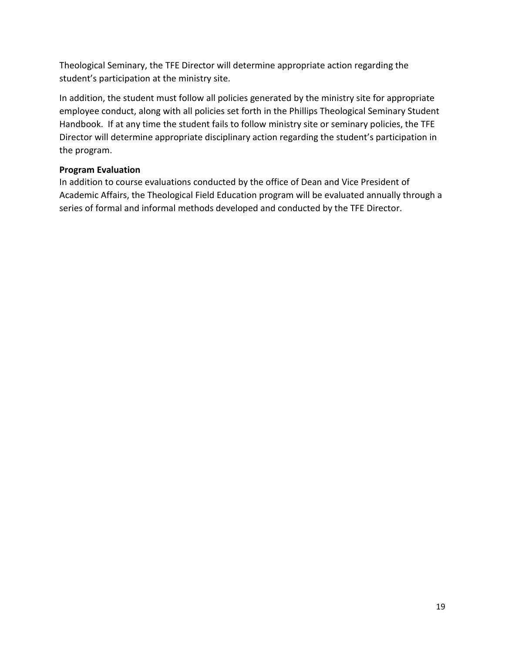Theological Seminary, the TFE Director will determine appropriate action regarding the student's participation at the ministry site.

In addition, the student must follow all policies generated by the ministry site for appropriate employee conduct, along with all policies set forth in the Phillips Theological Seminary Student Handbook. If at any time the student fails to follow ministry site or seminary policies, the TFE Director will determine appropriate disciplinary action regarding the student's participation in the program.

## **Program Evaluation**

In addition to course evaluations conducted by the office of Dean and Vice President of Academic Affairs, the Theological Field Education program will be evaluated annually through a series of formal and informal methods developed and conducted by the TFE Director.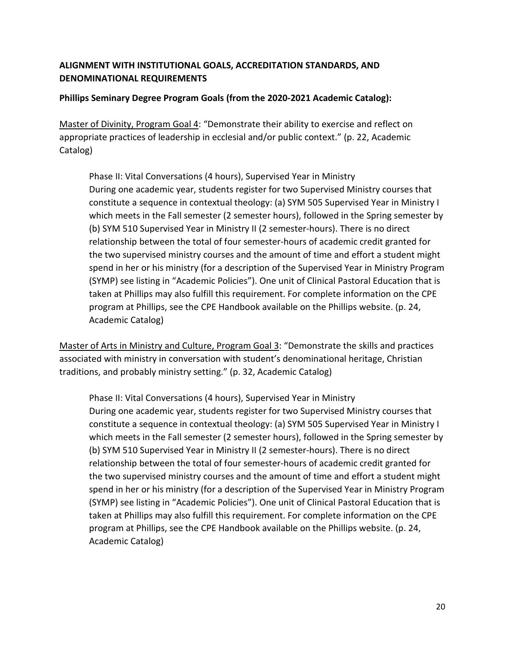## **ALIGNMENT WITH INSTITUTIONAL GOALS, ACCREDITATION STANDARDS, AND DENOMINATIONAL REQUIREMENTS**

## **Phillips Seminary Degree Program Goals (from the 2020-2021 Academic Catalog):**

Master of Divinity, Program Goal 4: "Demonstrate their ability to exercise and reflect on appropriate practices of leadership in ecclesial and/or public context." (p. 22, Academic Catalog)

Phase II: Vital Conversations (4 hours), Supervised Year in Ministry During one academic year, students register for two Supervised Ministry courses that constitute a sequence in contextual theology: (a) SYM 505 Supervised Year in Ministry I which meets in the Fall semester (2 semester hours), followed in the Spring semester by (b) SYM 510 Supervised Year in Ministry II (2 semester-hours). There is no direct relationship between the total of four semester-hours of academic credit granted for the two supervised ministry courses and the amount of time and effort a student might spend in her or his ministry (for a description of the Supervised Year in Ministry Program (SYMP) see listing in "Academic Policies"). One unit of Clinical Pastoral Education that is taken at Phillips may also fulfill this requirement. For complete information on the CPE program at Phillips, see the CPE Handbook available on the Phillips website. (p. 24, Academic Catalog)

Master of Arts in Ministry and Culture, Program Goal 3: "Demonstrate the skills and practices associated with ministry in conversation with student's denominational heritage, Christian traditions, and probably ministry setting." (p. 32, Academic Catalog)

Phase II: Vital Conversations (4 hours), Supervised Year in Ministry During one academic year, students register for two Supervised Ministry courses that constitute a sequence in contextual theology: (a) SYM 505 Supervised Year in Ministry I which meets in the Fall semester (2 semester hours), followed in the Spring semester by (b) SYM 510 Supervised Year in Ministry II (2 semester-hours). There is no direct relationship between the total of four semester-hours of academic credit granted for the two supervised ministry courses and the amount of time and effort a student might spend in her or his ministry (for a description of the Supervised Year in Ministry Program (SYMP) see listing in "Academic Policies"). One unit of Clinical Pastoral Education that is taken at Phillips may also fulfill this requirement. For complete information on the CPE program at Phillips, see the CPE Handbook available on the Phillips website. (p. 24, Academic Catalog)